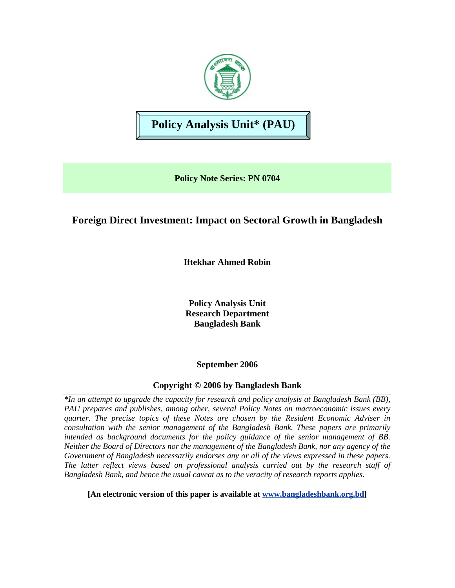

# **Policy Analysis Unit\* (PAU)**

**Policy Note Series: PN 0704** 

## **Foreign Direct Investment: Impact on Sectoral Growth in Bangladesh**

**Iftekhar Ahmed Robin** 

**Policy Analysis Unit Research Department Bangladesh Bank** 

**September 2006** 

## **Copyright © 2006 by Bangladesh Bank**

*\*In an attempt to upgrade the capacity for research and policy analysis at Bangladesh Bank (BB), PAU prepares and publishes, among other, several Policy Notes on macroeconomic issues every quarter. The precise topics of these Notes are chosen by the Resident Economic Adviser in consultation with the senior management of the Bangladesh Bank. These papers are primarily intended as background documents for the policy guidance of the senior management of BB. Neither the Board of Directors nor the management of the Bangladesh Bank, nor any agency of the Government of Bangladesh necessarily endorses any or all of the views expressed in these papers. The latter reflect views based on professional analysis carried out by the research staff of Bangladesh Bank, and hence the usual caveat as to the veracity of research reports applies.* 

**[An electronic version of this paper is available at [www.bangladeshbank.org.bd](http://www.bangladeshbank.org.bd/research/pau.html)]**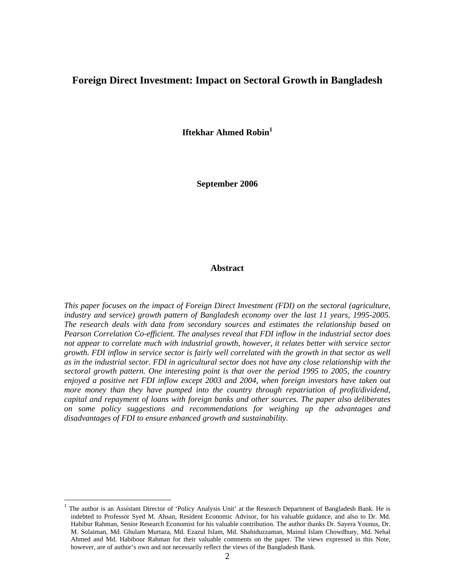## **Foreign Direct Investment: Impact on Sectoral Growth in Bangladesh**

**Iftekhar Ahmed Robin**<sup>1</sup>

**September 2006** 

#### **Abstract**

*This paper focuses on the impact of Foreign Direct Investment (FDI) on the sectoral (agriculture, industry and service) growth pattern of Bangladesh economy over the last 11 years, 1995-2005. The research deals with data from secondary sources and estimates the relationship based on Pearson Correlation Co-efficient. The analyses reveal that FDI inflow in the industrial sector does not appear to correlate much with industrial growth, however, it relates better with service sector growth. FDI inflow in service sector is fairly well correlated with the growth in that sector as well as in the industrial sector. FDI in agricultural sector does not have any close relationship with the sectoral growth pattern. One interesting point is that over the period 1995 to 2005, the country enjoyed a positive net FDI inflow except 2003 and 2004, when foreign investors have taken out more money than they have pumped into the country through repatriation of profit/dividend, capital and repayment of loans with foreign banks and other sources. The paper also deliberates on some policy suggestions and recommendations for weighing up the advantages and disadvantages of FDI to ensure enhanced growth and sustainability.* 

 $\overline{a}$ 

<span id="page-1-0"></span><sup>1</sup> The author is an Assistant Director of 'Policy Analysis Unit' at the Research Department of Bangladesh Bank. He is indebted to Professor Syed M. Ahsan, Resident Economic Advisor, for his valuable guidance, and also to Dr. Md. Habibur Rahman, Senior Research Economist for his valuable contribution. The author thanks Dr. Sayera Younus, Dr. M. Solaiman, Md. Ghulam Murtaza, Md. Ezazul Islam, Md. Shahiduzzaman, Mainul Islam Chowdhury, Md. Nehal Ahmed and Md. Habibour Rahman for their valuable comments on the paper. The views expressed in this Note, however, are of author's own and not necessarily reflect the views of the Bangladesh Bank.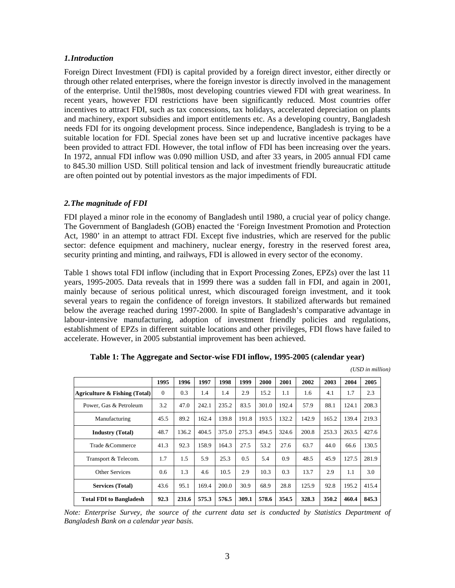#### *1.Introduction*

Foreign Direct Investment (FDI) is capital provided by a foreign direct investor, either directly or through other related enterprises, where the foreign investor is directly involved in the management of the enterprise. Until the1980s, most developing countries viewed FDI with great weariness. In recent years, however FDI restrictions have been significantly reduced. Most countries offer incentives to attract FDI, such as tax concessions, tax holidays, accelerated depreciation on plants and machinery, export subsidies and import entitlements etc. As a developing country, Bangladesh needs FDI for its ongoing development process. Since independence, Bangladesh is trying to be a suitable location for FDI. Special zones have been set up and lucrative incentive packages have been provided to attract FDI. However, the total inflow of FDI has been increasing over the years. In 1972, annual FDI inflow was 0.090 million USD, and after 33 years, in 2005 annual FDI came to 845.30 million USD. Still political tension and lack of investment friendly bureaucratic attitude are often pointed out by potential investors as the major impediments of FDI.

#### *2.The magnitude of FDI*

FDI played a minor role in the economy of Bangladesh until 1980, a crucial year of policy change. The Government of Bangladesh (GOB) enacted the 'Foreign Investment Promotion and Protection Act, 1980' in an attempt to attract FDI. Except five industries, which are reserved for the public sector: defence equipment and machinery, nuclear energy, forestry in the reserved forest area, security printing and minting, and railways, FDI is allowed in every sector of the economy.

Table 1 shows total FDI inflow (including that in Export Processing Zones, EPZs) over the last 11 years, 1995-2005. Data reveals that in 1999 there was a sudden fall in FDI, and again in 2001, mainly because of serious political unrest, which discouraged foreign investment, and it took several years to regain the confidence of foreign investors. It stabilized afterwards but remained below the average reached during 1997-2000. In spite of Bangladesh's comparative advantage in labour-intensive manufacturing, adoption of investment friendly policies and regulations, establishment of EPZs in different suitable locations and other privileges, FDI flows have failed to accelerate. However, in 2005 substantial improvement has been achieved.

|                                | 1995     | 1996  | 1997  | 1998  | 1999  | 2000  | 2001  | 2002  | 2003  | 2004  | 2005  |
|--------------------------------|----------|-------|-------|-------|-------|-------|-------|-------|-------|-------|-------|
| Agriculture & Fishing (Total)  | $\Omega$ | 0.3   | 1.4   | 1.4   | 2.9   | 15.2  | 1.1   | 1.6   | 4.1   | 1.7   | 2.3   |
| Power, Gas & Petroleum         | 3.2      | 47.0  | 242.1 | 235.2 | 83.5  | 301.0 | 192.4 | 57.9  | 88.1  | 124.1 | 208.3 |
| Manufacturing                  | 45.5     | 89.2  | 162.4 | 139.8 | 191.8 | 193.5 | 132.2 | 142.9 | 165.2 | 139.4 | 219.3 |
| <b>Industry (Total)</b>        | 48.7     | 136.2 | 404.5 | 375.0 | 275.3 | 494.5 | 324.6 | 200.8 | 253.3 | 263.5 | 427.6 |
| Trade & Commerce               | 41.3     | 92.3  | 158.9 | 164.3 | 27.5  | 53.2  | 27.6  | 63.7  | 44.0  | 66.6  | 130.5 |
| Transport & Telecom.           | 1.7      | 1.5   | 5.9   | 25.3  | 0.5   | 5.4   | 0.9   | 48.5  | 45.9  | 127.5 | 281.9 |
| <b>Other Services</b>          | 0.6      | 1.3   | 4.6   | 10.5  | 2.9   | 10.3  | 0.3   | 13.7  | 2.9   | 1.1   | 3.0   |
| <b>Services (Total)</b>        | 43.6     | 95.1  | 169.4 | 200.0 | 30.9  | 68.9  | 28.8  | 125.9 | 92.8  | 195.2 | 415.4 |
| <b>Total FDI to Bangladesh</b> | 92.3     | 231.6 | 575.3 | 576.5 | 309.1 | 578.6 | 354.5 | 328.3 | 350.2 | 460.4 | 845.3 |

|  | Table 1: The Aggregate and Sector-wise FDI inflow, 1995-2005 (calendar year) |  |  |
|--|------------------------------------------------------------------------------|--|--|
|  |                                                                              |  |  |

 *(USD in million)* 

*Note: Enterprise Survey, the source of the current data set is conducted by Statistics Department of Bangladesh Bank on a calendar year basis.*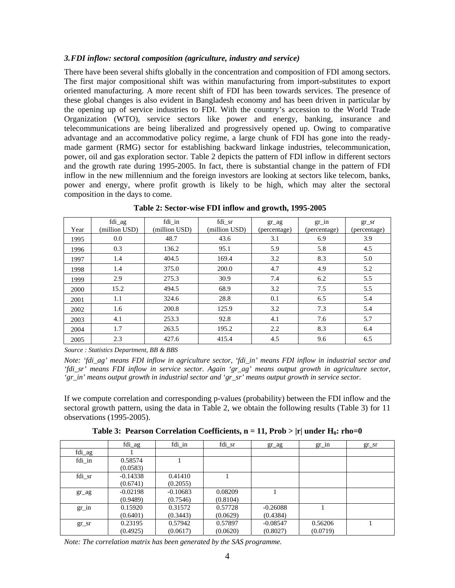#### *3.FDI inflow: sectoral composition (agriculture, industry and service)*

There have been several shifts globally in the concentration and composition of FDI among sectors. The first major compositional shift was within manufacturing from import-substitutes to export oriented manufacturing. A more recent shift of FDI has been towards services. The presence of these global changes is also evident in Bangladesh economy and has been driven in particular by the opening up of service industries to FDI. With the country's accession to the World Trade Organization (WTO), service sectors like power and energy, banking, insurance and telecommunications are being liberalized and progressively opened up. Owing to comparative advantage and an accommodative policy regime, a large chunk of FDI has gone into the readymade garment (RMG) sector for establishing backward linkage industries, telecommunication, power, oil and gas exploration sector. Table 2 depicts the pattern of FDI inflow in different sectors and the growth rate during 1995-2005. In fact, there is substantial change in the pattern of FDI inflow in the new millennium and the foreign investors are looking at sectors like telecom, banks, power and energy, where profit growth is likely to be high, which may alter the sectoral composition in the days to come.

| Year | fdi_ag<br>(million USD) | fdi_in<br>(million USD) | fdi sr<br>(million USD) | $gr\_{ag}$<br>(percentage) | $gr_in$<br>(percentage) | $gr\_sr$<br>(percentage) |
|------|-------------------------|-------------------------|-------------------------|----------------------------|-------------------------|--------------------------|
| 1995 | 0.0                     | 48.7                    | 43.6                    | 3.1                        | 6.9                     | 3.9                      |
| 1996 | 0.3                     | 136.2                   | 95.1                    | 5.9                        | 5.8                     | 4.5                      |
| 1997 | 1.4                     | 404.5                   | 169.4                   | 3.2                        | 8.3                     | 5.0                      |
| 1998 | 1.4                     | 375.0                   | 200.0                   | 4.7                        | 4.9                     | 5.2                      |
| 1999 | 2.9                     | 275.3                   | 30.9                    | 7.4                        | 6.2                     | 5.5                      |
| 2000 | 15.2                    | 494.5                   | 68.9                    | 3.2                        | 7.5                     | 5.5                      |
| 2001 | 1.1                     | 324.6                   | 28.8                    | 0.1                        | 6.5                     | 5.4                      |
| 2002 | 1.6                     | 200.8                   | 125.9                   | 3.2                        | 7.3                     | 5.4                      |
| 2003 | 4.1                     | 253.3                   | 92.8                    | 4.1                        | 7.6                     | 5.7                      |
| 2004 | 1.7                     | 263.5                   | 195.2                   | 2.2                        | 8.3                     | 6.4                      |
| 2005 | 2.3                     | 427.6                   | 415.4                   | 4.5                        | 9.6                     | 6.5                      |

**Table 2: Sector-wise FDI inflow and growth, 1995-2005** 

*Source : Statistics Department, BB & BBS* 

*Note: 'fdi\_ag' means FDI inflow in agriculture sector, 'fdi\_in' means FDI inflow in industrial sector and 'fdi\_sr' means FDI inflow in service sector. Again 'gr\_ag' means output growth in agriculture sector, 'gr\_in' means output growth in industrial sector and 'gr\_sr' means output growth in service sector.* 

If we compute correlation and corresponding p-values (probability) between the FDI inflow and the sectoral growth pattern, using the data in Table 2, we obtain the following results (Table 3) for 11 observations (1995-2005).

|  |  |  |  |  | Table 3: Pearson Correlation Coefficients, $n = 11$ , Prob >  r  under H <sub>0</sub> : rho=0 |
|--|--|--|--|--|-----------------------------------------------------------------------------------------------|
|--|--|--|--|--|-----------------------------------------------------------------------------------------------|

|            | fdi_ag     | fdi_in     | fdi_sr   | $gr\_{ag}$ | $gr\_1n$ | $gr\_sr$ |
|------------|------------|------------|----------|------------|----------|----------|
| fdi_ag     |            |            |          |            |          |          |
| fdi_in     | 0.58574    |            |          |            |          |          |
|            | (0.0583)   |            |          |            |          |          |
| fdi_sr     | $-0.14338$ | 0.41410    |          |            |          |          |
|            | (0.6741)   | (0.2055)   |          |            |          |          |
| $gr\_{ag}$ | $-0.02198$ | $-0.10683$ | 0.08209  |            |          |          |
|            | (0.9489)   | (0.7546)   | (0.8104) |            |          |          |
| $gr\_in$   | 0.15920    | 0.31572    | 0.57728  | $-0.26088$ |          |          |
|            | (0.6401)   | (0.3443)   | (0.0629) | (0.4384)   |          |          |
| $gr\_sr$   | 0.23195    | 0.57942    | 0.57897  | $-0.08547$ | 0.56206  |          |
|            | (0.4925)   | (0.0617)   | (0.0620) | (0.8027)   | (0.0719) |          |

*Note: The correlation matrix has been generated by the SAS programme.*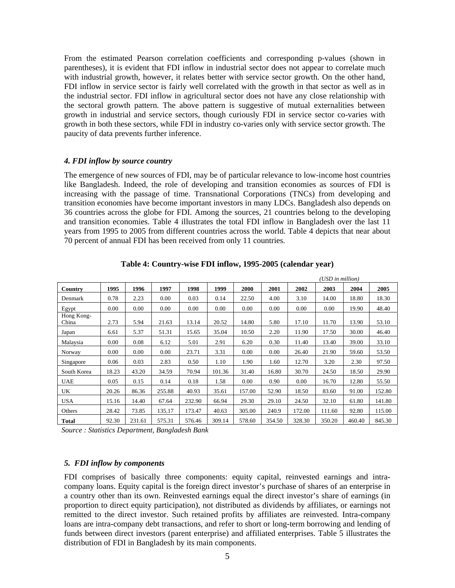From the estimated Pearson correlation coefficients and corresponding p-values (shown in parentheses), it is evident that FDI inflow in industrial sector does not appear to correlate much with industrial growth, however, it relates better with service sector growth. On the other hand, FDI inflow in service sector is fairly well correlated with the growth in that sector as well as in the industrial sector. FDI inflow in agricultural sector does not have any close relationship with the sectoral growth pattern. The above pattern is suggestive of mutual externalities between growth in industrial and service sectors, though curiously FDI in service sector co-varies with growth in both these sectors, while FDI in industry co-varies only with service sector growth. The paucity of data prevents further inference.

#### *4. FDI inflow by source country*

The emergence of new sources of FDI, may be of particular relevance to low-income host countries like Bangladesh. Indeed, the role of developing and transition economies as sources of FDI is increasing with the passage of time. Transnational Corporations (TNCs) from developing and transition economies have become important investors in many LDCs. Bangladesh also depends on 36 countries across the globe for FDI. Among the sources, 21 countries belong to the developing and transition economies. Table 4 illustrates the total FDI inflow in Bangladesh over the last 11 years from 1995 to 2005 from different countries across the world. Table 4 depicts that near about 70 percent of annual FDI has been received from only 11 countries.

|                     |       |        |        |        |        |        |        |        | (USD in million) |        |        |
|---------------------|-------|--------|--------|--------|--------|--------|--------|--------|------------------|--------|--------|
| Country             | 1995  | 1996   | 1997   | 1998   | 1999   | 2000   | 2001   | 2002   | 2003             | 2004   | 2005   |
| Denmark             | 0.78  | 2.23   | 0.00   | 0.03   | 0.14   | 22.50  | 4.00   | 3.10   | 14.00            | 18.80  | 18.30  |
| Egypt               | 0.00  | 0.00   | 0.00   | 0.00   | 0.00   | 0.00   | 0.00   | 0.00   | 0.00             | 19.90  | 48.40  |
| Hong Kong-<br>China | 2.73  | 5.94   | 21.63  | 13.14  | 20.52  | 14.80  | 5.80   | 17.10  | 11.70            | 13.90  | 53.10  |
| Japan               | 6.61  | 5.37   | 51.31  | 15.65  | 35.04  | 10.50  | 2.20   | 11.90  | 17.50            | 30.00  | 46.40  |
| Malaysia            | 0.00  | 0.08   | 6.12   | 5.01   | 2.91   | 6.20   | 0.30   | 11.40  | 13.40            | 39.00  | 33.10  |
| Norway              | 0.00  | 0.00   | 0.00   | 23.71  | 3.31   | 0.00   | 0.00   | 26.40  | 21.90            | 59.60  | 53.50  |
| Singapore           | 0.06  | 0.03   | 2.83   | 0.50   | 1.10   | 1.90   | 1.60   | 12.70  | 3.20             | 2.30   | 97.50  |
| South Korea         | 18.23 | 43.20  | 34.59  | 70.94  | 101.36 | 31.40  | 16.80  | 30.70  | 24.50            | 18.50  | 29.90  |
| <b>UAE</b>          | 0.05  | 0.15   | 0.14   | 0.18   | 1.58   | 0.00   | 0.90   | 0.00   | 16.70            | 12.80  | 55.50  |
| UK                  | 20.26 | 86.36  | 255.88 | 40.93  | 35.61  | 157.00 | 52.90  | 18.50  | 83.60            | 91.00  | 152.80 |
| <b>USA</b>          | 15.16 | 14.40  | 67.64  | 232.90 | 66.94  | 29.30  | 29.10  | 24.50  | 32.10            | 61.80  | 141.80 |
| Others              | 28.42 | 73.85  | 135.17 | 173.47 | 40.63  | 305.00 | 240.9  | 172.00 | 111.60           | 92.80  | 115.00 |
| <b>Total</b>        | 92.30 | 231.61 | 575.31 | 576.46 | 309.14 | 578.60 | 354.50 | 328.30 | 350.20           | 460.40 | 845.30 |

**Table 4: Country-wise FDI inflow, 1995-2005 (calendar year)**

*Source : Statistics Department, Bangladesh Bank* 

#### *5. FDI inflow by components*

FDI comprises of basically three components: equity capital, reinvested earnings and intracompany loans. Equity capital is the foreign direct investor's purchase of shares of an enterprise in a country other than its own. Reinvested earnings equal the direct investor's share of earnings (in proportion to direct equity participation), not distributed as dividends by affiliates, or earnings not remitted to the direct investor. Such retained profits by affiliates are reinvested. Intra-company loans are intra-company debt transactions, and refer to short or long-term borrowing and lending of funds between direct investors (parent enterprise) and affiliated enterprises. Table 5 illustrates the distribution of FDI in Bangladesh by its main components.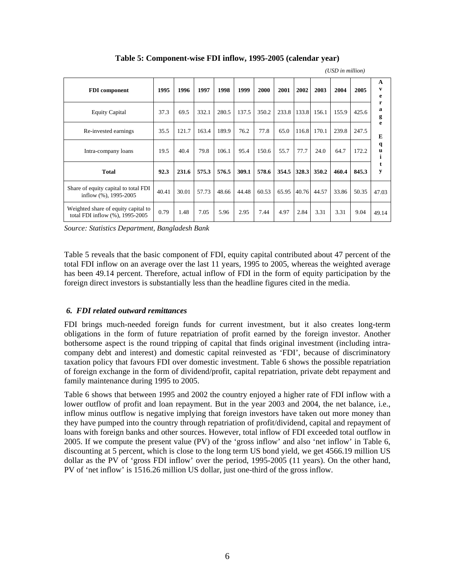|                                                                        |       |       |       |       |       |       |       |       |             | (USD in million) |       |                        |
|------------------------------------------------------------------------|-------|-------|-------|-------|-------|-------|-------|-------|-------------|------------------|-------|------------------------|
| <b>FDI</b> component                                                   | 1995  | 1996  | 1997  | 1998  | 1999  | 2000  | 2001  | 2002  | 2003        | 2004             | 2005  | $\mathbf{A}$<br>v<br>e |
| <b>Equity Capital</b>                                                  | 37.3  | 69.5  | 332.1 | 280.5 | 137.5 | 350.2 | 233.8 | 133.8 | 156.1       | 155.9            | 425.6 | r<br>a<br>g            |
| Re-invested earnings                                                   | 35.5  | 121.7 | 163.4 | 189.9 | 76.2  | 77.8  | 65.0  |       | 116.8 170.1 | 239.8            | 247.5 | e<br>E                 |
| Intra-company loans                                                    | 19.5  | 40.4  | 79.8  | 106.1 | 95.4  | 150.6 | 55.7  | 77.7  | 24.0        | 64.7             | 172.2 | q<br>u<br>1            |
| <b>Total</b>                                                           | 92.3  | 231.6 | 575.3 | 576.5 | 309.1 | 578.6 | 354.5 | 328.3 | 350.2       | 460.4            | 845.3 | t<br>y                 |
| Share of equity capital to total FDI<br>inflow (%), 1995-2005          | 40.41 | 30.01 | 57.73 | 48.66 | 44.48 | 60.53 | 65.95 | 40.76 | 44.57       | 33.86            | 50.35 | 47.03                  |
| Weighted share of equity capital to<br>total FDI inflow (%), 1995-2005 | 0.79  | 1.48  | 7.05  | 5.96  | 2.95  | 7.44  | 4.97  | 2.84  | 3.31        | 3.31             | 9.04  | 49.14                  |

**Table 5: Component-wise FDI inflow, 1995-2005 (calendar year)** 

*Source: Statistics Department, Bangladesh Bank*

Table 5 reveals that the basic component of FDI, equity capital contributed about 47 percent of the total FDI inflow on an average over the last 11 years, 1995 to 2005, whereas the weighted average has been 49.14 percent. Therefore, actual inflow of FDI in the form of equity participation by the foreign direct investors is substantially less than the headline figures cited in the media.

#### *6. FDI related outward remittances*

FDI brings much-needed foreign funds for current investment, but it also creates long-term obligations in the form of future repatriation of profit earned by the foreign investor. Another bothersome aspect is the round tripping of capital that finds original investment (including intracompany debt and interest) and domestic capital reinvested as 'FDI', because of discriminatory taxation policy that favours FDI over domestic investment. Table 6 shows the possible repatriation of foreign exchange in the form of dividend/profit, capital repatriation, private debt repayment and family maintenance during 1995 to 2005.

Table 6 shows that between 1995 and 2002 the country enjoyed a higher rate of FDI inflow with a lower outflow of profit and loan repayment. But in the year 2003 and 2004, the net balance, i.e., inflow minus outflow is negative implying that foreign investors have taken out more money than they have pumped into the country through repatriation of profit/dividend, capital and repayment of loans with foreign banks and other sources. However, total inflow of FDI exceeded total outflow in 2005. If we compute the present value (PV) of the 'gross inflow' and also 'net inflow' in Table 6, discounting at 5 percent, which is close to the long term US bond yield, we get 4566.19 million US dollar as the PV of 'gross FDI inflow' over the period, 1995-2005 (11 years). On the other hand, PV of 'net inflow' is 1516.26 million US dollar, just one-third of the gross inflow.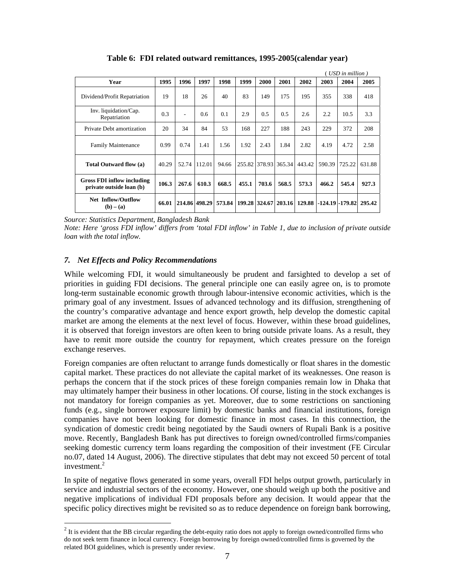|                                                               |       |       |               |        |       |       |                      |        |                   | USD in million) |        |
|---------------------------------------------------------------|-------|-------|---------------|--------|-------|-------|----------------------|--------|-------------------|-----------------|--------|
| Year                                                          | 1995  | 1996  | 1997          | 1998   | 1999  | 2000  | 2001                 | 2002   | 2003              | 2004            | 2005   |
| Dividend/Profit Repatriation                                  | 19    | 18    | 26            | 40     | 83    | 149   | 175                  | 195    | 355               | 338             | 418    |
| Inv. liquidation/Cap.<br>Repatriation                         | 0.3   |       | 0.6           | 0.1    | 2.9   | 0.5   | 0.5                  | 2.6    | 2.2               | 10.5            | 3.3    |
| Private Debt amortization                                     | 20    | 34    | 84            | 53     | 168   | 227   | 188                  | 243    | 229               | 372             | 208    |
| <b>Family Maintenance</b>                                     | 0.99  | 0.74  | 1.41          | 1.56   | 1.92  | 2.43  | 1.84                 | 2.82   | 4.19              | 4.72            | 2.58   |
| Total Outward flow (a)                                        | 40.29 | 52.74 | 112.01        | 94.66  |       |       | 255.82 378.93 365.34 | 443.42 | 590.39            | 725.22          | 631.88 |
| <b>Gross FDI inflow including</b><br>private outside loan (b) | 106.3 | 267.6 | 610.3         | 668.5  | 455.1 | 703.6 | 568.5                | 573.3  | 466.2             | 545.4           | 927.3  |
| <b>Net Inflow/Outflow</b><br>$(b) - (a)$                      | 66.01 |       | 214.86 498.29 | 573.84 |       |       | 199.28 324.67 203.16 | 129.88 | -124.19   -179.82 |                 | 295.42 |

**Table 6: FDI related outward remittances, 1995-2005(calendar year)** 

*Source: Statistics Department, Bangladesh Bank* 

*Note: Here 'gross FDI inflow' differs from 'total FDI inflow' in Table 1, due to inclusion of private outside loan with the total inflow.*

#### *7. Net Effects and Policy Recommendations*

 $\overline{a}$ 

While welcoming FDI, it would simultaneously be prudent and farsighted to develop a set of priorities in guiding FDI decisions. The general principle one can easily agree on, is to promote long-term sustainable economic growth through labour-intensive economic activities, which is the primary goal of any investment. Issues of advanced technology and its diffusion, strengthening of the country's comparative advantage and hence export growth, help develop the domestic capital market are among the elements at the next level of focus. However, within these broad guidelines, it is observed that foreign investors are often keen to bring outside private loans. As a result, they have to remit more outside the country for repayment, which creates pressure on the foreign exchange reserves.

Foreign companies are often reluctant to arrange funds domestically or float shares in the domestic capital market. These practices do not alleviate the capital market of its weaknesses. One reason is perhaps the concern that if the stock prices of these foreign companies remain low in Dhaka that may ultimately hamper their business in other locations. Of course, listing in the stock exchanges is not mandatory for foreign companies as yet. Moreover, due to some restrictions on sanctioning funds (e.g., single borrower exposure limit) by domestic banks and financial institutions, foreign companies have not been looking for domestic finance in most cases. In this connection, the syndication of domestic credit being negotiated by the Saudi owners of Rupali Bank is a positive move. Recently, Bangladesh Bank has put directives to foreign owned/controlled firms/companies seeking domestic currency term loans regarding the composition of their investment (FE Circular no.07, dated 14 August, 2006). The directive stipulates that debt may not exceed 50 percent of total investment[.](#page-6-0)<sup>2</sup>

In spite of negative flows generated in some years, overall FDI helps output growth, particularly in service and industrial sectors of the economy. However, one should weigh up both the positive and negative implications of individual FDI proposals before any decision. It would appear that the specific policy directives might be revisited so as to reduce dependence on foreign bank borrowing,

<span id="page-6-0"></span> $2$  It is evident that the BB circular regarding the debt-equity ratio does not apply to foreign owned/controlled firms who do not seek term finance in local currency. Foreign borrowing by foreign owned/controlled firms is governed by the related BOI guidelines, which is presently under review.